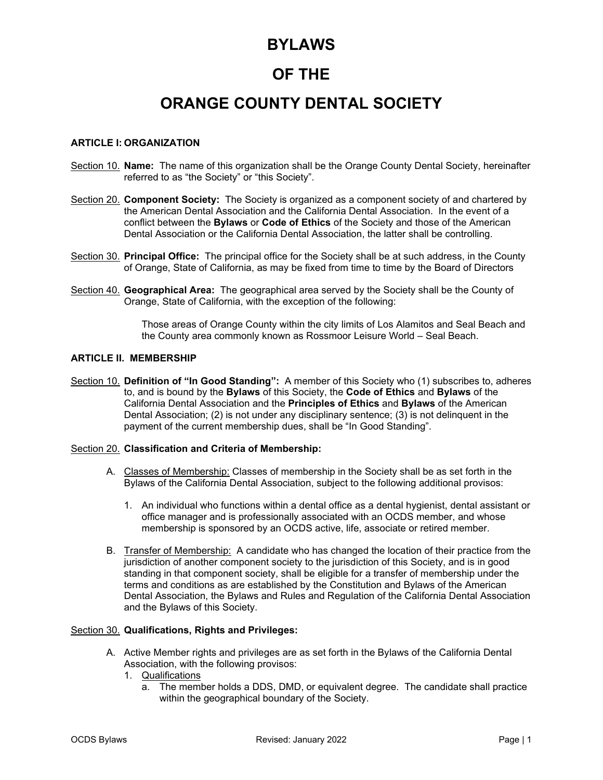## **BYLAWS**

# **OF THE**

# **ORANGE COUNTY DENTAL SOCIETY**

## **ARTICLE I: ORGANIZATION**

- Section 10. **Name:** The name of this organization shall be the Orange County Dental Society, hereinafter referred to as "the Society" or "this Society".
- Section 20. **Component Society:** The Society is organized as a component society of and chartered by the American Dental Association and the California Dental Association. In the event of a conflict between the **Bylaws** or **Code of Ethics** of the Society and those of the American Dental Association or the California Dental Association, the latter shall be controlling.
- Section 30. **Principal Office:** The principal office for the Society shall be at such address, in the County of Orange, State of California, as may be fixed from time to time by the Board of Directors
- Section 40. **Geographical Area:** The geographical area served by the Society shall be the County of Orange, State of California, with the exception of the following:

 Those areas of Orange County within the city limits of Los Alamitos and Seal Beach and the County area commonly known as Rossmoor Leisure World – Seal Beach.

#### **ARTICLE II. MEMBERSHIP**

Section 10. **Definition of "In Good Standing":** A member of this Society who (1) subscribes to, adheres to, and is bound by the **Bylaws** of this Society, the **Code of Ethics** and **Bylaws** of the California Dental Association and the **Principles of Ethics** and **Bylaws** of the American Dental Association; (2) is not under any disciplinary sentence; (3) is not delinquent in the payment of the current membership dues, shall be "In Good Standing".

#### Section 20. **Classification and Criteria of Membership:**

- A. Classes of Membership: Classes of membership in the Society shall be as set forth in the Bylaws of the California Dental Association, subject to the following additional provisos:
	- 1. An individual who functions within a dental office as a dental hygienist, dental assistant or office manager and is professionally associated with an OCDS member, and whose membership is sponsored by an OCDS active, life, associate or retired member.
- B. Transfer of Membership: A candidate who has changed the location of their practice from the jurisdiction of another component society to the jurisdiction of this Society, and is in good standing in that component society, shall be eligible for a transfer of membership under the terms and conditions as are established by the Constitution and Bylaws of the American Dental Association, the Bylaws and Rules and Regulation of the California Dental Association and the Bylaws of this Society.

#### Section 30. **Qualifications, Rights and Privileges:**

- A. Active Member rights and privileges are as set forth in the Bylaws of the California Dental Association, with the following provisos:
	- 1. Qualifications
		- a. The member holds a DDS, DMD, or equivalent degree. The candidate shall practice within the geographical boundary of the Society.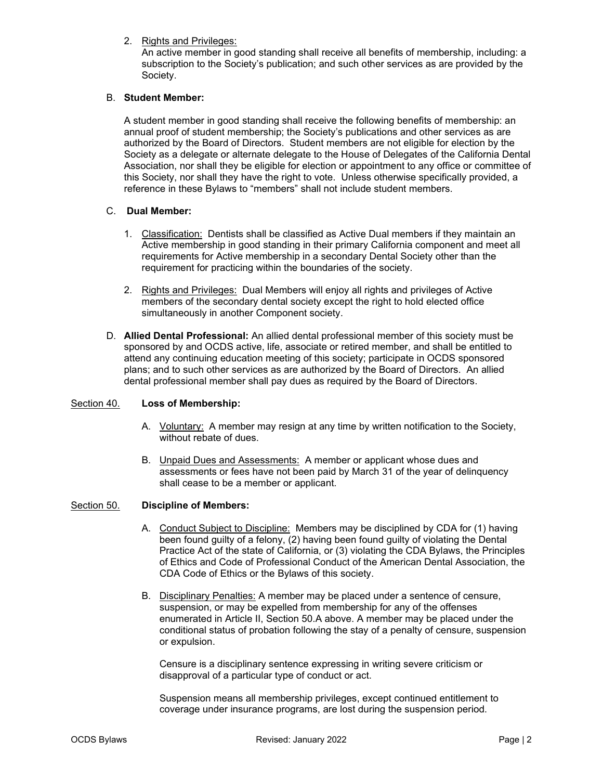## 2. Rights and Privileges:

An active member in good standing shall receive all benefits of membership, including: a subscription to the Society's publication; and such other services as are provided by the Society.

## B. **Student Member:**

A student member in good standing shall receive the following benefits of membership: an annual proof of student membership; the Society's publications and other services as are authorized by the Board of Directors. Student members are not eligible for election by the Society as a delegate or alternate delegate to the House of Delegates of the California Dental Association, nor shall they be eligible for election or appointment to any office or committee of this Society, nor shall they have the right to vote. Unless otherwise specifically provided, a reference in these Bylaws to "members" shall not include student members.

#### C. **Dual Member:**

- 1. Classification: Dentists shall be classified as Active Dual members if they maintain an Active membership in good standing in their primary California component and meet all requirements for Active membership in a secondary Dental Society other than the requirement for practicing within the boundaries of the society.
- 2. Rights and Privileges: Dual Members will enjoy all rights and privileges of Active members of the secondary dental society except the right to hold elected office simultaneously in another Component society.
- D. **Allied Dental Professional:** An allied dental professional member of this society must be sponsored by and OCDS active, life, associate or retired member, and shall be entitled to attend any continuing education meeting of this society; participate in OCDS sponsored plans; and to such other services as are authorized by the Board of Directors. An allied dental professional member shall pay dues as required by the Board of Directors.

#### Section 40. **Loss of Membership:**

- A. Voluntary: A member may resign at any time by written notification to the Society, without rebate of dues.
- B. Unpaid Dues and Assessments: A member or applicant whose dues and assessments or fees have not been paid by March 31 of the year of delinquency shall cease to be a member or applicant.

#### Section 50. **Discipline of Members:**

- A. Conduct Subject to Discipline: Members may be disciplined by CDA for (1) having been found guilty of a felony, (2) having been found guilty of violating the Dental Practice Act of the state of California, or (3) violating the CDA Bylaws, the Principles of Ethics and Code of Professional Conduct of the American Dental Association, the CDA Code of Ethics or the Bylaws of this society.
- B. Disciplinary Penalties: A member may be placed under a sentence of censure, suspension, or may be expelled from membership for any of the offenses enumerated in Article II, Section 50.A above. A member may be placed under the conditional status of probation following the stay of a penalty of censure, suspension or expulsion.

Censure is a disciplinary sentence expressing in writing severe criticism or disapproval of a particular type of conduct or act.

Suspension means all membership privileges, except continued entitlement to coverage under insurance programs, are lost during the suspension period.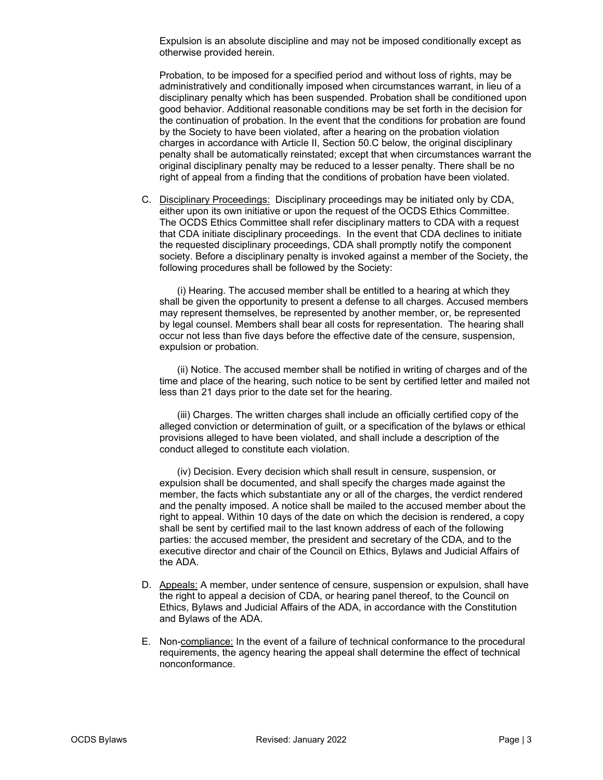Expulsion is an absolute discipline and may not be imposed conditionally except as otherwise provided herein.

Probation, to be imposed for a specified period and without loss of rights, may be administratively and conditionally imposed when circumstances warrant, in lieu of a disciplinary penalty which has been suspended. Probation shall be conditioned upon good behavior. Additional reasonable conditions may be set forth in the decision for the continuation of probation. In the event that the conditions for probation are found by the Society to have been violated, after a hearing on the probation violation charges in accordance with Article II, Section 50.C below, the original disciplinary penalty shall be automatically reinstated; except that when circumstances warrant the original disciplinary penalty may be reduced to a lesser penalty. There shall be no right of appeal from a finding that the conditions of probation have been violated.

C. Disciplinary Proceedings: Disciplinary proceedings may be initiated only by CDA, either upon its own initiative or upon the request of the OCDS Ethics Committee. The OCDS Ethics Committee shall refer disciplinary matters to CDA with a request that CDA initiate disciplinary proceedings. In the event that CDA declines to initiate the requested disciplinary proceedings, CDA shall promptly notify the component society. Before a disciplinary penalty is invoked against a member of the Society, the following procedures shall be followed by the Society:

(i) Hearing. The accused member shall be entitled to a hearing at which they shall be given the opportunity to present a defense to all charges. Accused members may represent themselves, be represented by another member, or, be represented by legal counsel. Members shall bear all costs for representation. The hearing shall occur not less than five days before the effective date of the censure, suspension, expulsion or probation.

(ii) Notice. The accused member shall be notified in writing of charges and of the time and place of the hearing, such notice to be sent by certified letter and mailed not less than 21 days prior to the date set for the hearing.

(iii) Charges. The written charges shall include an officially certified copy of the alleged conviction or determination of guilt, or a specification of the bylaws or ethical provisions alleged to have been violated, and shall include a description of the conduct alleged to constitute each violation.

(iv) Decision. Every decision which shall result in censure, suspension, or expulsion shall be documented, and shall specify the charges made against the member, the facts which substantiate any or all of the charges, the verdict rendered and the penalty imposed. A notice shall be mailed to the accused member about the right to appeal. Within 10 days of the date on which the decision is rendered, a copy shall be sent by certified mail to the last known address of each of the following parties: the accused member, the president and secretary of the CDA, and to the executive director and chair of the Council on Ethics, Bylaws and Judicial Affairs of the ADA.

- D. Appeals: A member, under sentence of censure, suspension or expulsion, shall have the right to appeal a decision of CDA, or hearing panel thereof, to the Council on Ethics, Bylaws and Judicial Affairs of the ADA, in accordance with the Constitution and Bylaws of the ADA.
- E. Non-compliance: In the event of a failure of technical conformance to the procedural requirements, the agency hearing the appeal shall determine the effect of technical nonconformance.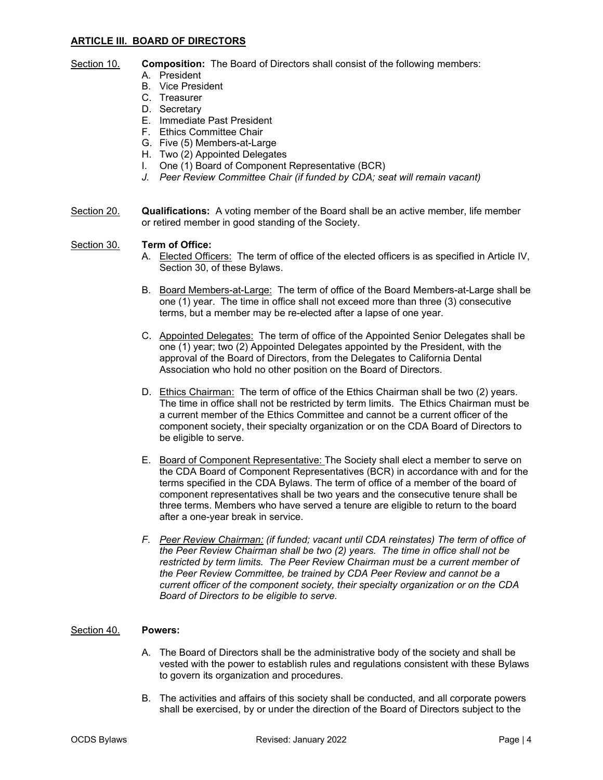## **ARTICLE III. BOARD OF DIRECTORS**

## Section 10. **Composition:** The Board of Directors shall consist of the following members:

- A. President
	- B. Vice President
	- C. Treasurer
	- D. Secretary
	- E. Immediate Past President
	- F. Ethics Committee Chair
	- G. Five (5) Members-at-Large
	- H. Two (2) Appointed Delegates
	- I. One (1) Board of Component Representative (BCR)
	- *J. Peer Review Committee Chair (if funded by CDA; seat will remain vacant)*
- Section 20. **Qualifications:** A voting member of the Board shall be an active member, life member or retired member in good standing of the Society.

#### Section 30. **Term of Office:**

- A. Elected Officers: The term of office of the elected officers is as specified in Article IV, Section 30, of these Bylaws.
- B. Board Members-at-Large: The term of office of the Board Members-at-Large shall be one (1) year. The time in office shall not exceed more than three (3) consecutive terms, but a member may be re-elected after a lapse of one year.
- C. Appointed Delegates: The term of office of the Appointed Senior Delegates shall be one (1) year; two (2) Appointed Delegates appointed by the President, with the approval of the Board of Directors, from the Delegates to California Dental Association who hold no other position on the Board of Directors.
- D. Ethics Chairman: The term of office of the Ethics Chairman shall be two (2) years. The time in office shall not be restricted by term limits. The Ethics Chairman must be a current member of the Ethics Committee and cannot be a current officer of the component society, their specialty organization or on the CDA Board of Directors to be eligible to serve.
- E. Board of Component Representative: The Society shall elect a member to serve on the CDA Board of Component Representatives (BCR) in accordance with and for the terms specified in the CDA Bylaws. The term of office of a member of the board of component representatives shall be two years and the consecutive tenure shall be three terms. Members who have served a tenure are eligible to return to the board after a one-year break in service.
- *F. Peer Review Chairman: (if funded; vacant until CDA reinstates) The term of office of the Peer Review Chairman shall be two (2) years. The time in office shall not be restricted by term limits. The Peer Review Chairman must be a current member of the Peer Review Committee, be trained by CDA Peer Review and cannot be a current officer of the component society, their specialty organization or on the CDA Board of Directors to be eligible to serve.*

## Section 40. **Powers:**

- A. The Board of Directors shall be the administrative body of the society and shall be vested with the power to establish rules and regulations consistent with these Bylaws to govern its organization and procedures.
- B. The activities and affairs of this society shall be conducted, and all corporate powers shall be exercised, by or under the direction of the Board of Directors subject to the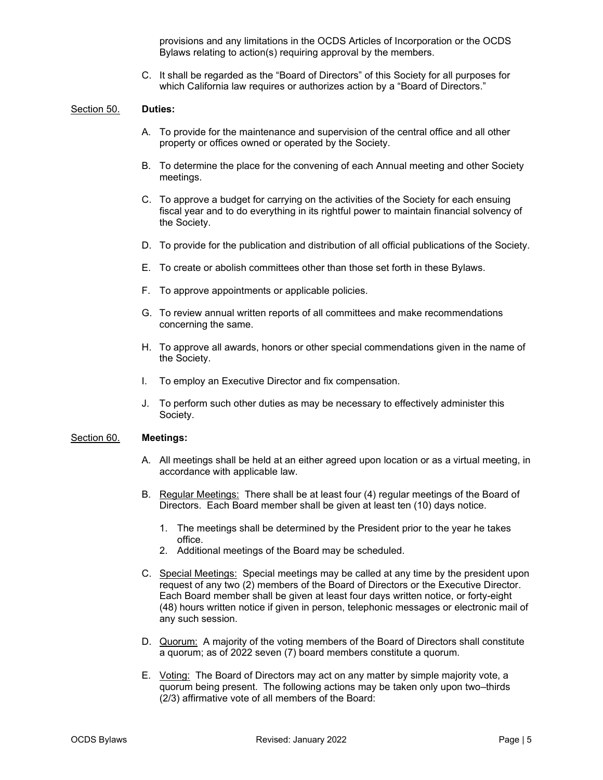provisions and any limitations in the OCDS Articles of Incorporation or the OCDS Bylaws relating to action(s) requiring approval by the members.

C. It shall be regarded as the "Board of Directors" of this Society for all purposes for which California law requires or authorizes action by a "Board of Directors."

#### Section 50. **Duties:**

- A. To provide for the maintenance and supervision of the central office and all other property or offices owned or operated by the Society.
- B. To determine the place for the convening of each Annual meeting and other Society meetings.
- C. To approve a budget for carrying on the activities of the Society for each ensuing fiscal year and to do everything in its rightful power to maintain financial solvency of the Society.
- D. To provide for the publication and distribution of all official publications of the Society.
- E. To create or abolish committees other than those set forth in these Bylaws.
- F. To approve appointments or applicable policies.
- G. To review annual written reports of all committees and make recommendations concerning the same.
- H. To approve all awards, honors or other special commendations given in the name of the Society.
- I. To employ an Executive Director and fix compensation.
- J. To perform such other duties as may be necessary to effectively administer this Society.

#### Section 60. **Meetings:**

- A. All meetings shall be held at an either agreed upon location or as a virtual meeting, in accordance with applicable law.
- B. Regular Meetings: There shall be at least four (4) regular meetings of the Board of Directors. Each Board member shall be given at least ten (10) days notice.
	- 1. The meetings shall be determined by the President prior to the year he takes office.
	- 2. Additional meetings of the Board may be scheduled.
- C. Special Meetings: Special meetings may be called at any time by the president upon request of any two (2) members of the Board of Directors or the Executive Director. Each Board member shall be given at least four days written notice, or forty-eight (48) hours written notice if given in person, telephonic messages or electronic mail of any such session.
- D. Quorum: A majority of the voting members of the Board of Directors shall constitute a quorum; as of 2022 seven (7) board members constitute a quorum.
- E. Voting: The Board of Directors may act on any matter by simple majority vote, a quorum being present. The following actions may be taken only upon two–thirds (2/3) affirmative vote of all members of the Board: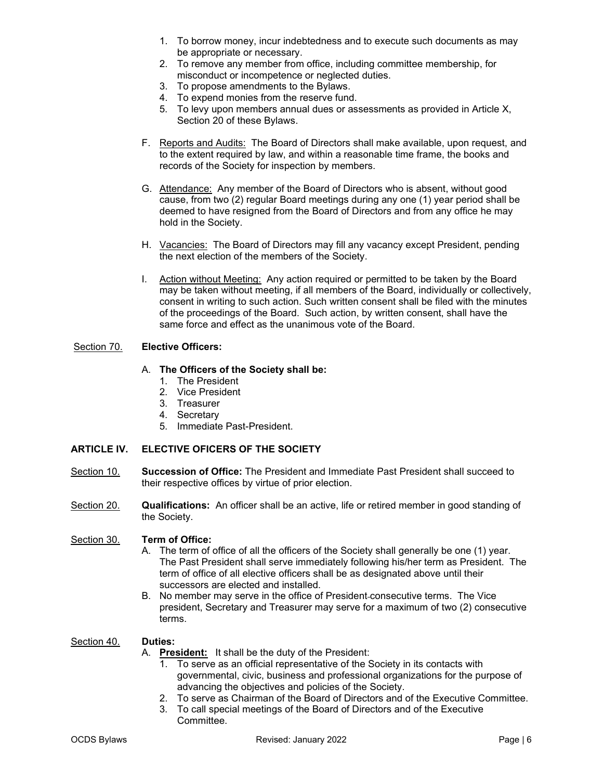- 1. To borrow money, incur indebtedness and to execute such documents as may be appropriate or necessary.
- 2. To remove any member from office, including committee membership, for misconduct or incompetence or neglected duties.
- 3. To propose amendments to the Bylaws.
- 4. To expend monies from the reserve fund.
- 5. To levy upon members annual dues or assessments as provided in Article X, Section 20 of these Bylaws.
- F. Reports and Audits: The Board of Directors shall make available, upon request, and to the extent required by law, and within a reasonable time frame, the books and records of the Society for inspection by members.
- G. Attendance: Any member of the Board of Directors who is absent, without good cause, from two (2) regular Board meetings during any one (1) year period shall be deemed to have resigned from the Board of Directors and from any office he may hold in the Society.
- H. Vacancies: The Board of Directors may fill any vacancy except President, pending the next election of the members of the Society.
- I. Action without Meeting: Any action required or permitted to be taken by the Board may be taken without meeting, if all members of the Board, individually or collectively, consent in writing to such action. Such written consent shall be filed with the minutes of the proceedings of the Board. Such action, by written consent, shall have the same force and effect as the unanimous vote of the Board.

## Section 70. **Elective Officers:**

## A. **The Officers of the Society shall be:**

- 1. The President
- 2. Vice President
- 3. Treasurer
- 4. Secretary
- 5. Immediate Past-President.

## **ARTICLE IV. ELECTIVE OFICERS OF THE SOCIETY**

- Section 10. **Succession of Office:** The President and Immediate Past President shall succeed to their respective offices by virtue of prior election.
- Section 20. **Qualifications:** An officer shall be an active, life or retired member in good standing of the Society.

#### Section 30. **Term of Office:**

- A. The term of office of all the officers of the Society shall generally be one (1) year. The Past President shall serve immediately following his/her term as President. The term of office of all elective officers shall be as designated above until their successors are elected and installed.
- B. No member may serve in the office of President consecutive terms. The Vice president, Secretary and Treasurer may serve for a maximum of two (2) consecutive terms.

#### Section 40. **Duties:**

- A. **President:** It shall be the duty of the President:
	- 1. To serve as an official representative of the Society in its contacts with governmental, civic, business and professional organizations for the purpose of advancing the objectives and policies of the Society.
	- 2. To serve as Chairman of the Board of Directors and of the Executive Committee.
	- 3. To call special meetings of the Board of Directors and of the Executive
		- Committee.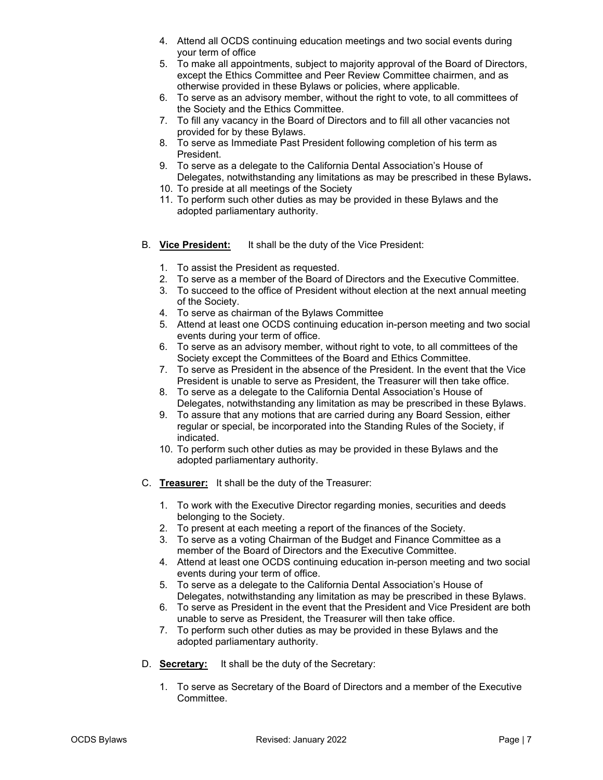- 4. Attend all OCDS continuing education meetings and two social events during your term of office
- 5. To make all appointments, subject to majority approval of the Board of Directors, except the Ethics Committee and Peer Review Committee chairmen, and as otherwise provided in these Bylaws or policies, where applicable.
- 6. To serve as an advisory member, without the right to vote, to all committees of the Society and the Ethics Committee.
- 7. To fill any vacancy in the Board of Directors and to fill all other vacancies not provided for by these Bylaws.
- 8. To serve as Immediate Past President following completion of his term as President.
- 9. To serve as a delegate to the California Dental Association's House of Delegates, notwithstanding any limitations as may be prescribed in these Bylaws**.**
- 10. To preside at all meetings of the Society
- 11. To perform such other duties as may be provided in these Bylaws and the adopted parliamentary authority.
- B. **Vice President:** It shall be the duty of the Vice President:
	- 1. To assist the President as requested.
	- 2. To serve as a member of the Board of Directors and the Executive Committee.
	- 3. To succeed to the office of President without election at the next annual meeting of the Society.
	- 4. To serve as chairman of the Bylaws Committee
	- 5. Attend at least one OCDS continuing education in-person meeting and two social events during your term of office.
	- 6. To serve as an advisory member, without right to vote, to all committees of the Society except the Committees of the Board and Ethics Committee.
	- 7. To serve as President in the absence of the President. In the event that the Vice President is unable to serve as President, the Treasurer will then take office.
	- 8. To serve as a delegate to the California Dental Association's House of Delegates, notwithstanding any limitation as may be prescribed in these Bylaws.
	- 9. To assure that any motions that are carried during any Board Session, either regular or special, be incorporated into the Standing Rules of the Society, if indicated.
	- 10. To perform such other duties as may be provided in these Bylaws and the adopted parliamentary authority.
- C. **Treasurer:** It shall be the duty of the Treasurer:
	- 1. To work with the Executive Director regarding monies, securities and deeds belonging to the Society.
	- 2. To present at each meeting a report of the finances of the Society.
	- 3. To serve as a voting Chairman of the Budget and Finance Committee as a member of the Board of Directors and the Executive Committee.
	- 4. Attend at least one OCDS continuing education in-person meeting and two social events during your term of office.
	- 5. To serve as a delegate to the California Dental Association's House of Delegates, notwithstanding any limitation as may be prescribed in these Bylaws.
	- 6. To serve as President in the event that the President and Vice President are both unable to serve as President, the Treasurer will then take office.
	- 7. To perform such other duties as may be provided in these Bylaws and the adopted parliamentary authority.
- D. **Secretary:** It shall be the duty of the Secretary:
	- 1. To serve as Secretary of the Board of Directors and a member of the Executive Committee.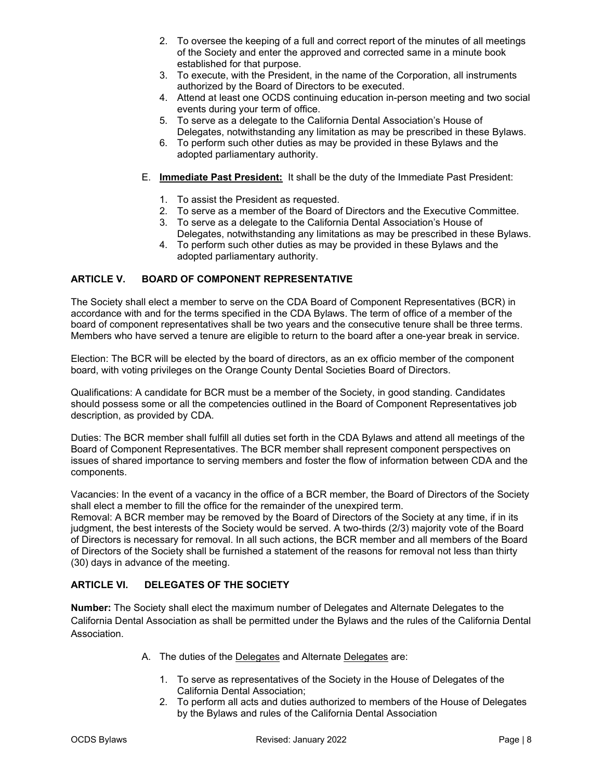- 2. To oversee the keeping of a full and correct report of the minutes of all meetings of the Society and enter the approved and corrected same in a minute book established for that purpose.
- 3. To execute, with the President, in the name of the Corporation, all instruments authorized by the Board of Directors to be executed.
- 4. Attend at least one OCDS continuing education in-person meeting and two social events during your term of office.
- 5. To serve as a delegate to the California Dental Association's House of Delegates, notwithstanding any limitation as may be prescribed in these Bylaws.
- 6. To perform such other duties as may be provided in these Bylaws and the adopted parliamentary authority.
- E. **Immediate Past President:** It shall be the duty of the Immediate Past President:
	- 1. To assist the President as requested.
	- 2. To serve as a member of the Board of Directors and the Executive Committee.
	- 3. To serve as a delegate to the California Dental Association's House of Delegates, notwithstanding any limitations as may be prescribed in these Bylaws.
	- 4. To perform such other duties as may be provided in these Bylaws and the adopted parliamentary authority.

## **ARTICLE V. BOARD OF COMPONENT REPRESENTATIVE**

The Society shall elect a member to serve on the CDA Board of Component Representatives (BCR) in accordance with and for the terms specified in the CDA Bylaws. The term of office of a member of the board of component representatives shall be two years and the consecutive tenure shall be three terms. Members who have served a tenure are eligible to return to the board after a one-year break in service.

Election: The BCR will be elected by the board of directors, as an ex officio member of the component board, with voting privileges on the Orange County Dental Societies Board of Directors.

Qualifications: A candidate for BCR must be a member of the Society, in good standing. Candidates should possess some or all the competencies outlined in the Board of Component Representatives job description, as provided by CDA.

Duties: The BCR member shall fulfill all duties set forth in the CDA Bylaws and attend all meetings of the Board of Component Representatives. The BCR member shall represent component perspectives on issues of shared importance to serving members and foster the flow of information between CDA and the components.

Vacancies: In the event of a vacancy in the office of a BCR member, the Board of Directors of the Society shall elect a member to fill the office for the remainder of the unexpired term.

Removal: A BCR member may be removed by the Board of Directors of the Society at any time, if in its judgment, the best interests of the Society would be served. A two-thirds (2/3) majority vote of the Board of Directors is necessary for removal. In all such actions, the BCR member and all members of the Board of Directors of the Society shall be furnished a statement of the reasons for removal not less than thirty (30) days in advance of the meeting.

## **ARTICLE VI. DELEGATES OF THE SOCIETY**

**Number:** The Society shall elect the maximum number of Delegates and Alternate Delegates to the California Dental Association as shall be permitted under the Bylaws and the rules of the California Dental Association.

- A. The duties of the Delegates and Alternate Delegates are:
	- 1. To serve as representatives of the Society in the House of Delegates of the California Dental Association;
	- 2. To perform all acts and duties authorized to members of the House of Delegates by the Bylaws and rules of the California Dental Association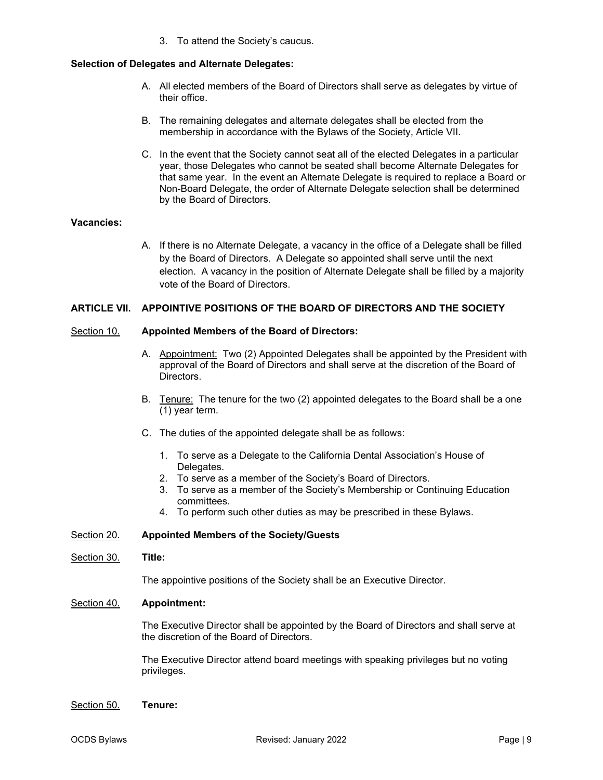3. To attend the Society's caucus.

## **Selection of Delegates and Alternate Delegates:**

- A. All elected members of the Board of Directors shall serve as delegates by virtue of their office.
- B. The remaining delegates and alternate delegates shall be elected from the membership in accordance with the Bylaws of the Society, Article VII.
- C. In the event that the Society cannot seat all of the elected Delegates in a particular year, those Delegates who cannot be seated shall become Alternate Delegates for that same year. In the event an Alternate Delegate is required to replace a Board or Non-Board Delegate, the order of Alternate Delegate selection shall be determined by the Board of Directors.

## **Vacancies:**

A. If there is no Alternate Delegate, a vacancy in the office of a Delegate shall be filled by the Board of Directors. A Delegate so appointed shall serve until the next election. A vacancy in the position of Alternate Delegate shall be filled by a majority vote of the Board of Directors.

#### **ARTICLE VII. APPOINTIVE POSITIONS OF THE BOARD OF DIRECTORS AND THE SOCIETY**

#### Section 10. **Appointed Members of the Board of Directors:**

- A. Appointment: Two (2) Appointed Delegates shall be appointed by the President with approval of the Board of Directors and shall serve at the discretion of the Board of Directors.
- B. Tenure: The tenure for the two (2) appointed delegates to the Board shall be a one (1) year term.
- C. The duties of the appointed delegate shall be as follows:
	- 1. To serve as a Delegate to the California Dental Association's House of Delegates.
	- 2. To serve as a member of the Society's Board of Directors.
	- 3. To serve as a member of the Society's Membership or Continuing Education committees.
	- 4. To perform such other duties as may be prescribed in these Bylaws.

#### Section 20. **Appointed Members of the Society/Guests**

#### Section 30. **Title:**

The appointive positions of the Society shall be an Executive Director.

#### Section 40. **Appointment:**

The Executive Director shall be appointed by the Board of Directors and shall serve at the discretion of the Board of Directors.

The Executive Director attend board meetings with speaking privileges but no voting privileges.

#### Section 50. **Tenure:**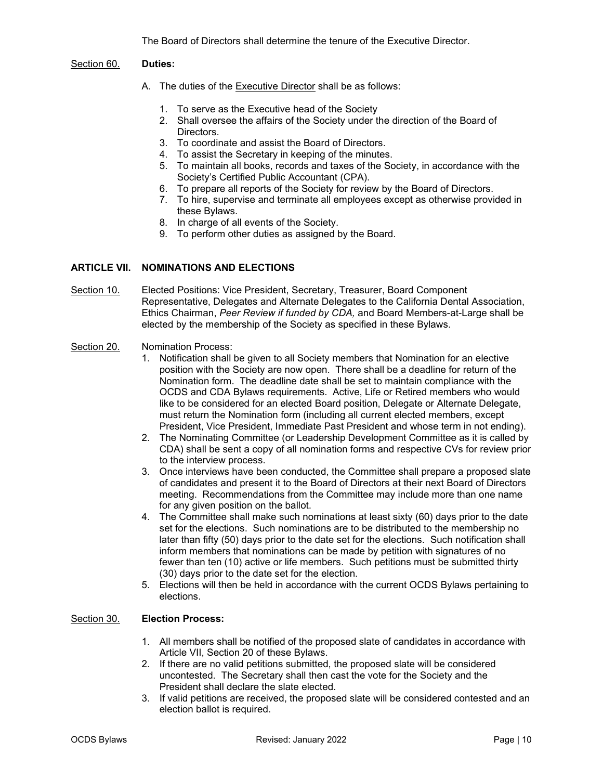The Board of Directors shall determine the tenure of the Executive Director.

#### Section 60. **Duties:**

- A. The duties of the **Executive Director** shall be as follows:
	- 1. To serve as the Executive head of the Society
	- 2. Shall oversee the affairs of the Society under the direction of the Board of Directors.
	- 3. To coordinate and assist the Board of Directors.
	- 4. To assist the Secretary in keeping of the minutes.
	- 5. To maintain all books, records and taxes of the Society, in accordance with the Society's Certified Public Accountant (CPA).
	- 6. To prepare all reports of the Society for review by the Board of Directors.
	- 7. To hire, supervise and terminate all employees except as otherwise provided in these Bylaws.
	- 8. In charge of all events of the Society.
	- 9. To perform other duties as assigned by the Board.

## **ARTICLE VII. NOMINATIONS AND ELECTIONS**

Section 10. Elected Positions: Vice President, Secretary, Treasurer, Board Component Representative, Delegates and Alternate Delegates to the California Dental Association, Ethics Chairman, *Peer Review if funded by CDA,* and Board Members-at-Large shall be elected by the membership of the Society as specified in these Bylaws.

#### Section 20. Nomination Process:

- 1. Notification shall be given to all Society members that Nomination for an elective position with the Society are now open. There shall be a deadline for return of the Nomination form. The deadline date shall be set to maintain compliance with the OCDS and CDA Bylaws requirements. Active, Life or Retired members who would like to be considered for an elected Board position, Delegate or Alternate Delegate, must return the Nomination form (including all current elected members, except President, Vice President, Immediate Past President and whose term in not ending).
- 2. The Nominating Committee (or Leadership Development Committee as it is called by CDA) shall be sent a copy of all nomination forms and respective CVs for review prior to the interview process.
- 3. Once interviews have been conducted, the Committee shall prepare a proposed slate of candidates and present it to the Board of Directors at their next Board of Directors meeting. Recommendations from the Committee may include more than one name for any given position on the ballot.
- 4. The Committee shall make such nominations at least sixty (60) days prior to the date set for the elections. Such nominations are to be distributed to the membership no later than fifty (50) days prior to the date set for the elections. Such notification shall inform members that nominations can be made by petition with signatures of no fewer than ten (10) active or life members. Such petitions must be submitted thirty (30) days prior to the date set for the election.
- 5. Elections will then be held in accordance with the current OCDS Bylaws pertaining to elections.

#### Section 30. **Election Process:**

- 1. All members shall be notified of the proposed slate of candidates in accordance with Article VII, Section 20 of these Bylaws.
- 2. If there are no valid petitions submitted, the proposed slate will be considered uncontested. The Secretary shall then cast the vote for the Society and the President shall declare the slate elected.
- 3. If valid petitions are received, the proposed slate will be considered contested and an election ballot is required.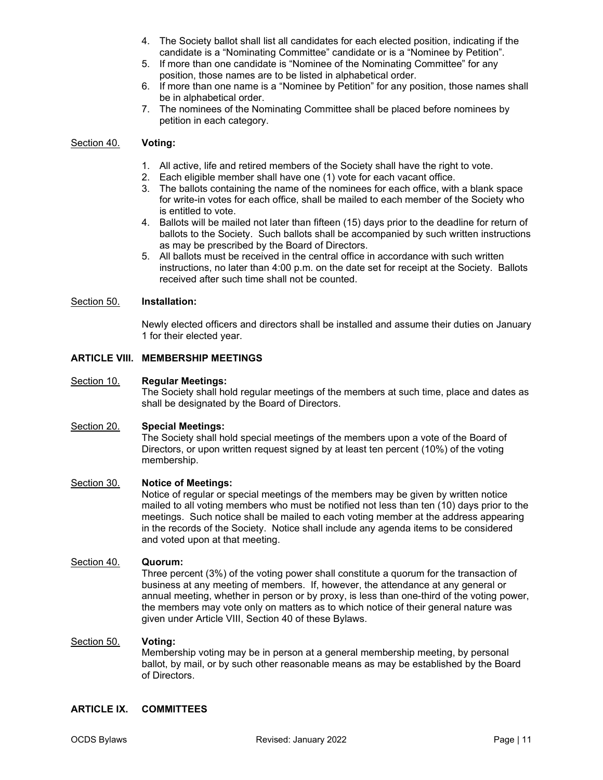- 4. The Society ballot shall list all candidates for each elected position, indicating if the candidate is a "Nominating Committee" candidate or is a "Nominee by Petition".
- 5. If more than one candidate is "Nominee of the Nominating Committee" for any position, those names are to be listed in alphabetical order.
- 6. If more than one name is a "Nominee by Petition" for any position, those names shall be in alphabetical order.
- 7. The nominees of the Nominating Committee shall be placed before nominees by petition in each category.

#### Section 40. **Voting:**

- 1. All active, life and retired members of the Society shall have the right to vote.
- 2. Each eligible member shall have one (1) vote for each vacant office.
- 3. The ballots containing the name of the nominees for each office, with a blank space for write-in votes for each office, shall be mailed to each member of the Society who is entitled to vote.
- 4. Ballots will be mailed not later than fifteen (15) days prior to the deadline for return of ballots to the Society. Such ballots shall be accompanied by such written instructions as may be prescribed by the Board of Directors.
- 5. All ballots must be received in the central office in accordance with such written instructions, no later than 4:00 p.m. on the date set for receipt at the Society. Ballots received after such time shall not be counted.

#### Section 50. **Installation:**

Newly elected officers and directors shall be installed and assume their duties on January 1 for their elected year.

## **ARTICLE VIII. MEMBERSHIP MEETINGS**

#### Section 10. **Regular Meetings:**

The Society shall hold regular meetings of the members at such time, place and dates as shall be designated by the Board of Directors.

#### Section 20. **Special Meetings:**

The Society shall hold special meetings of the members upon a vote of the Board of Directors, or upon written request signed by at least ten percent (10%) of the voting membership.

#### Section 30. **Notice of Meetings:**

Notice of regular or special meetings of the members may be given by written notice mailed to all voting members who must be notified not less than ten (10) days prior to the meetings. Such notice shall be mailed to each voting member at the address appearing in the records of the Society. Notice shall include any agenda items to be considered and voted upon at that meeting.

#### Section 40. **Quorum:**

Three percent (3%) of the voting power shall constitute a quorum for the transaction of business at any meeting of members. If, however, the attendance at any general or annual meeting, whether in person or by proxy, is less than one-third of the voting power, the members may vote only on matters as to which notice of their general nature was given under Article VIII, Section 40 of these Bylaws.

#### Section 50. **Voting:**

Membership voting may be in person at a general membership meeting, by personal ballot, by mail, or by such other reasonable means as may be established by the Board of Directors.

#### **ARTICLE IX. COMMITTEES**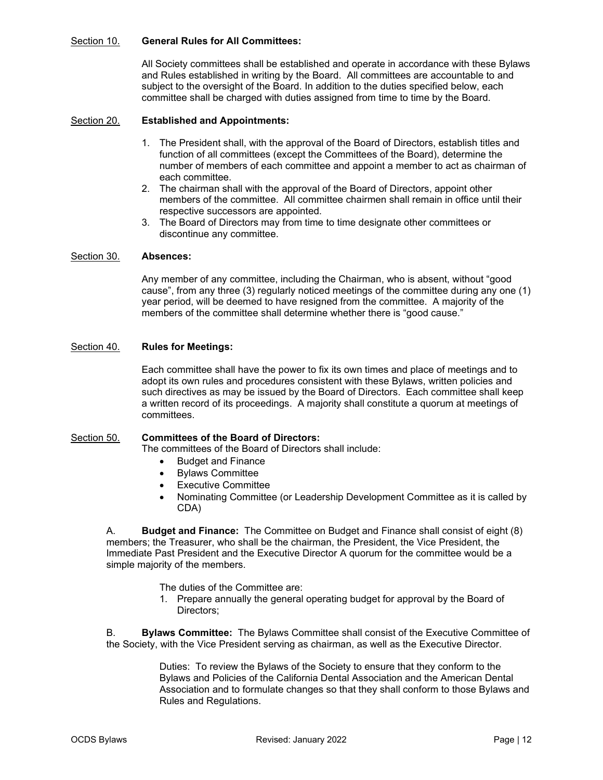#### Section 10. **General Rules for All Committees:**

All Society committees shall be established and operate in accordance with these Bylaws and Rules established in writing by the Board. All committees are accountable to and subject to the oversight of the Board. In addition to the duties specified below, each committee shall be charged with duties assigned from time to time by the Board.

## Section 20. **Established and Appointments:**

- 1. The President shall, with the approval of the Board of Directors, establish titles and function of all committees (except the Committees of the Board), determine the number of members of each committee and appoint a member to act as chairman of each committee.
- 2. The chairman shall with the approval of the Board of Directors, appoint other members of the committee. All committee chairmen shall remain in office until their respective successors are appointed.
- 3. The Board of Directors may from time to time designate other committees or discontinue any committee.

#### Section 30. **Absences:**

Any member of any committee, including the Chairman, who is absent, without "good cause", from any three (3) regularly noticed meetings of the committee during any one (1) year period, will be deemed to have resigned from the committee. A majority of the members of the committee shall determine whether there is "good cause."

#### Section 40. **Rules for Meetings:**

Each committee shall have the power to fix its own times and place of meetings and to adopt its own rules and procedures consistent with these Bylaws, written policies and such directives as may be issued by the Board of Directors. Each committee shall keep a written record of its proceedings. A majority shall constitute a quorum at meetings of committees.

#### Section 50. **Committees of the Board of Directors:**

The committees of the Board of Directors shall include:

- Budget and Finance
- Bylaws Committee
- Executive Committee
- Nominating Committee (or Leadership Development Committee as it is called by CDA)

A. **Budget and Finance:** The Committee on Budget and Finance shall consist of eight (8) members; the Treasurer, who shall be the chairman, the President, the Vice President, the Immediate Past President and the Executive Director A quorum for the committee would be a simple majority of the members.

The duties of the Committee are:

1. Prepare annually the general operating budget for approval by the Board of Directors;

B. **Bylaws Committee:** The Bylaws Committee shall consist of the Executive Committee of the Society, with the Vice President serving as chairman, as well as the Executive Director.

> Duties: To review the Bylaws of the Society to ensure that they conform to the Bylaws and Policies of the California Dental Association and the American Dental Association and to formulate changes so that they shall conform to those Bylaws and Rules and Regulations.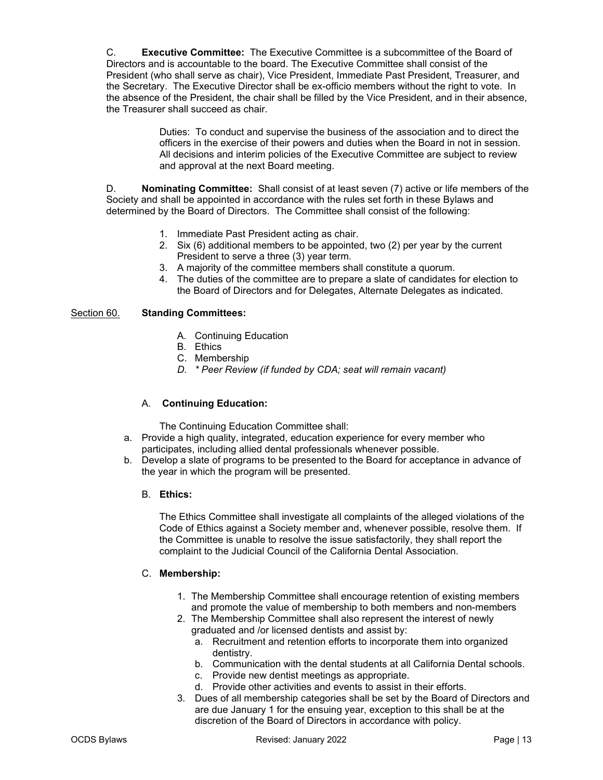C. **Executive Committee:** The Executive Committee is a subcommittee of the Board of Directors and is accountable to the board. The Executive Committee shall consist of the President (who shall serve as chair), Vice President, Immediate Past President, Treasurer, and the Secretary. The Executive Director shall be ex-officio members without the right to vote. In the absence of the President, the chair shall be filled by the Vice President, and in their absence, the Treasurer shall succeed as chair.

> Duties: To conduct and supervise the business of the association and to direct the officers in the exercise of their powers and duties when the Board in not in session. All decisions and interim policies of the Executive Committee are subject to review and approval at the next Board meeting.

D. **Nominating Committee:** Shall consist of at least seven (7) active or life members of the Society and shall be appointed in accordance with the rules set forth in these Bylaws and determined by the Board of Directors. The Committee shall consist of the following:

- 1. Immediate Past President acting as chair.
- 2. Six (6) additional members to be appointed, two (2) per year by the current President to serve a three (3) year term.
- 3. A majority of the committee members shall constitute a quorum.
- 4. The duties of the committee are to prepare a slate of candidates for election to the Board of Directors and for Delegates, Alternate Delegates as indicated.

## Section 60. **Standing Committees:**

- A. Continuing Education
- B. Ethics
- C. Membership
- *D. \* Peer Review (if funded by CDA; seat will remain vacant)*

## A. **Continuing Education:**

The Continuing Education Committee shall:

- a. Provide a high quality, integrated, education experience for every member who participates, including allied dental professionals whenever possible.
- b. Develop a slate of programs to be presented to the Board for acceptance in advance of the year in which the program will be presented.
	- B. **Ethics:**

The Ethics Committee shall investigate all complaints of the alleged violations of the Code of Ethics against a Society member and, whenever possible, resolve them. If the Committee is unable to resolve the issue satisfactorily, they shall report the complaint to the Judicial Council of the California Dental Association.

#### C. **Membership:**

- 1. The Membership Committee shall encourage retention of existing members and promote the value of membership to both members and non-members
- 2. The Membership Committee shall also represent the interest of newly graduated and /or licensed dentists and assist by:
	- a. Recruitment and retention efforts to incorporate them into organized dentistry.
	- b. Communication with the dental students at all California Dental schools.
	- c. Provide new dentist meetings as appropriate.
	- d. Provide other activities and events to assist in their efforts.
- 3. Dues of all membership categories shall be set by the Board of Directors and are due January 1 for the ensuing year, exception to this shall be at the discretion of the Board of Directors in accordance with policy.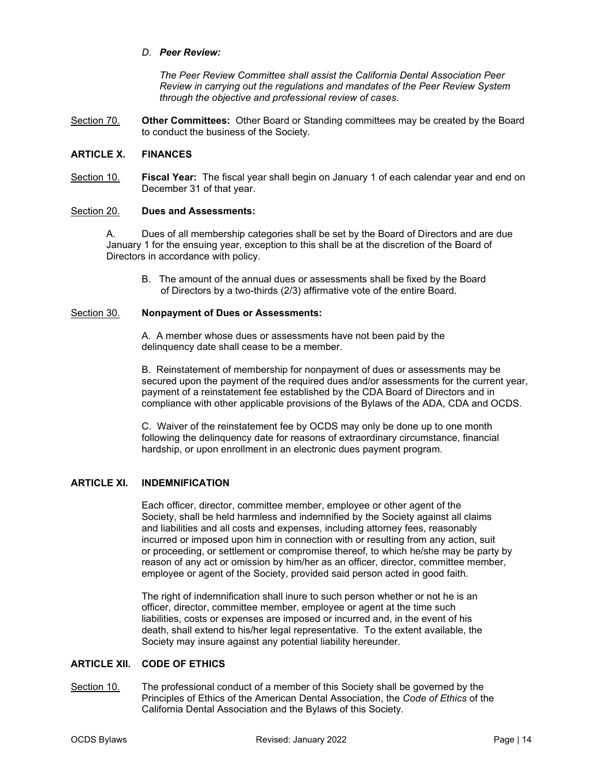#### *D. Peer Review:*

*The Peer Review Committee shall assist the California Dental Association Peer Review in carrying out the regulations and mandates of the Peer Review System through the objective and professional review of cases.*

Section 70. **Other Committees:** Other Board or Standing committees may be created by the Board to conduct the business of the Society.

#### **ARTICLE X. FINANCES**

Section 10. **Fiscal Year:** The fiscal year shall begin on January 1 of each calendar year and end on December 31 of that year.

#### Section 20. **Dues and Assessments:**

A. Dues of all membership categories shall be set by the Board of Directors and are due January 1 for the ensuing year, exception to this shall be at the discretion of the Board of Directors in accordance with policy.

B. The amount of the annual dues or assessments shall be fixed by the Board of Directors by a two-thirds (2/3) affirmative vote of the entire Board.

#### Section 30. **Nonpayment of Dues or Assessments:**

A. A member whose dues or assessments have not been paid by the delinquency date shall cease to be a member.

B. Reinstatement of membership for nonpayment of dues or assessments may be secured upon the payment of the required dues and/or assessments for the current year, payment of a reinstatement fee established by the CDA Board of Directors and in compliance with other applicable provisions of the Bylaws of the ADA, CDA and OCDS.

C. Waiver of the reinstatement fee by OCDS may only be done up to one month following the delinquency date for reasons of extraordinary circumstance, financial hardship, or upon enrollment in an electronic dues payment program.

## **ARTICLE XI. INDEMNIFICATION**

 Each officer, director, committee member, employee or other agent of the Society, shall be held harmless and indemnified by the Society against all claims and liabilities and all costs and expenses, including attorney fees, reasonably incurred or imposed upon him in connection with or resulting from any action, suit or proceeding, or settlement or compromise thereof, to which he/she may be party by reason of any act or omission by him/her as an officer, director, committee member, employee or agent of the Society, provided said person acted in good faith.

 The right of indemnification shall inure to such person whether or not he is an officer, director, committee member, employee or agent at the time such liabilities, costs or expenses are imposed or incurred and, in the event of his death, shall extend to his/her legal representative. To the extent available, the Society may insure against any potential liability hereunder.

#### **ARTICLE XII. CODE OF ETHICS**

Section 10. The professional conduct of a member of this Society shall be governed by the Principles of Ethics of the American Dental Association, the *Code of Ethics* of the California Dental Association and the Bylaws of this Society.